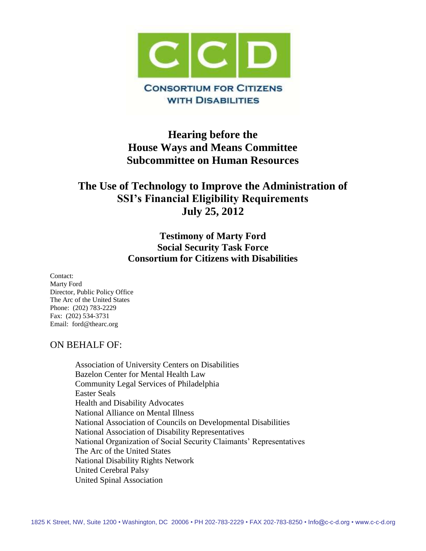

# **Hearing before the House Ways and Means Committee Subcommittee on Human Resources**

# **The Use of Technology to Improve the Administration of SSI's Financial Eligibility Requirements July 25, 2012**

## **Testimony of Marty Ford Social Security Task Force Consortium for Citizens with Disabilities**

Contact: Marty Ford Director, Public Policy Office The Arc of the United States Phone: (202) 783-2229 Fax: (202) 534-3731 Email: ford@thearc.org

## ON BEHALF OF:

Association of University Centers on Disabilities Bazelon Center for Mental Health Law Community Legal Services of Philadelphia Easter Seals Health and Disability Advocates National Alliance on Mental Illness National Association of Councils on Developmental Disabilities National Association of Disability Representatives National Organization of Social Security Claimants' Representatives The Arc of the United States National Disability Rights Network United Cerebral Palsy United Spinal Association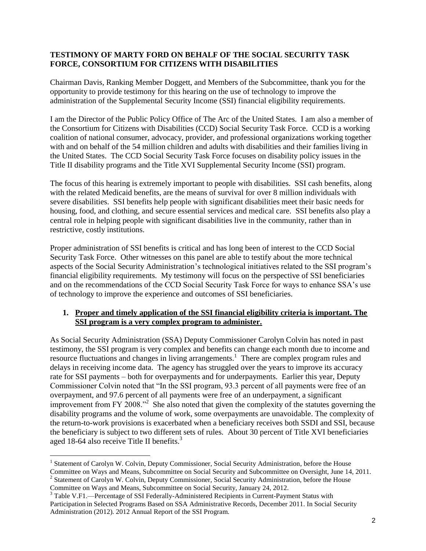#### **TESTIMONY OF MARTY FORD ON BEHALF OF THE SOCIAL SECURITY TASK FORCE, CONSORTIUM FOR CITIZENS WITH DISABILITIES**

Chairman Davis, Ranking Member Doggett, and Members of the Subcommittee, thank you for the opportunity to provide testimony for this hearing on the use of technology to improve the administration of the Supplemental Security Income (SSI) financial eligibility requirements.

I am the Director of the Public Policy Office of The Arc of the United States. I am also a member of the Consortium for Citizens with Disabilities (CCD) Social Security Task Force. CCD is a working coalition of national consumer, advocacy, provider, and professional organizations working together with and on behalf of the 54 million children and adults with disabilities and their families living in the United States. The CCD Social Security Task Force focuses on disability policy issues in the Title II disability programs and the Title XVI Supplemental Security Income (SSI) program.

The focus of this hearing is extremely important to people with disabilities. SSI cash benefits, along with the related Medicaid benefits, are the means of survival for over 8 million individuals with severe disabilities. SSI benefits help people with significant disabilities meet their basic needs for housing, food, and clothing, and secure essential services and medical care. SSI benefits also play a central role in helping people with significant disabilities live in the community, rather than in restrictive, costly institutions.

Proper administration of SSI benefits is critical and has long been of interest to the CCD Social Security Task Force. Other witnesses on this panel are able to testify about the more technical aspects of the Social Security Administration's technological initiatives related to the SSI program's financial eligibility requirements. My testimony will focus on the perspective of SSI beneficiaries and on the recommendations of the CCD Social Security Task Force for ways to enhance SSA's use of technology to improve the experience and outcomes of SSI beneficiaries.

#### **1. Proper and timely application of the SSI financial eligibility criteria is important. The SSI program is a very complex program to administer.**

As Social Security Administration (SSA) Deputy Commissioner Carolyn Colvin has noted in past testimony, the SSI program is very complex and benefits can change each month due to income and resource fluctuations and changes in living arrangements.<sup>1</sup> There are complex program rules and delays in receiving income data. The agency has struggled over the years to improve its accuracy rate for SSI payments – both for overpayments and for underpayments. Earlier this year, Deputy Commissioner Colvin noted that "In the SSI program, 93.3 percent of all payments were free of an overpayment, and 97.6 percent of all payments were free of an underpayment, a significant improvement from FY 2008."<sup>2</sup> She also noted that given the complexity of the statutes governing the disability programs and the volume of work, some overpayments are unavoidable. The complexity of the return-to-work provisions is exacerbated when a beneficiary receives both SSDI and SSI, because the beneficiary is subject to two different sets of rules. About 30 percent of Title XVI beneficiaries aged 18-64 also receive Title II benefits.<sup>3</sup>

 $\overline{a}$ 

<sup>&</sup>lt;sup>1</sup> Statement of Carolyn W. Colvin, Deputy Commissioner, Social Security Administration, before the House Committee on Ways and Means, Subcommittee on Social Security and Subcommittee on Oversight, June 14, 2011.

<sup>&</sup>lt;sup>2</sup> Statement of Carolyn W. Colvin, Deputy Commissioner, Social Security Administration, before the House Committee on Ways and Means, Subcommittee on Social Security, January 24, 2012.

<sup>&</sup>lt;sup>3</sup> Table V.F1.—Percentage of SSI Federally-Administered Recipients in Current-Payment Status with Participation in Selected Programs Based on SSA Administrative Records, December 2011. In Social Security Administration (2012). 2012 Annual Report of the SSI Program.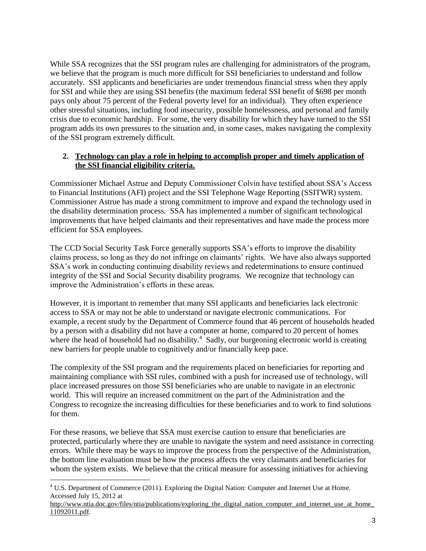While SSA recognizes that the SSI program rules are challenging for administrators of the program, we believe that the program is much more difficult for SSI beneficiaries to understand and follow accurately. SSI applicants and beneficiaries are under tremendous financial stress when they apply for SSI and while they are using SSI benefits (the maximum federal SSI benefit of \$698 per month pays only about 75 percent of the Federal poverty level for an individual). They often experience other stressful situations, including food insecurity, possible homelessness, and personal and family crisis due to economic hardship. For some, the very disability for which they have turned to the SSI program adds its own pressures to the situation and, in some cases, makes navigating the complexity of the SSI program extremely difficult.

#### **2. Technology can play a role in helping to accomplish proper and timely application of the SSI financial eligibility criteria.**

Commissioner Michael Astrue and Deputy Commissioner Colvin have testified about SSA's Access to Financial Institutions (AFI) project and the SSI Telephone Wage Reporting (SSITWR) system. Commissioner Astrue has made a strong commitment to improve and expand the technology used in the disability determination process. SSA has implemented a number of significant technological improvements that have helped claimants and their representatives and have made the process more efficient for SSA employees.

The CCD Social Security Task Force generally supports SSA's efforts to improve the disability claims process, so long as they do not infringe on claimants' rights. We have also always supported SSA's work in conducting continuing disability reviews and redeterminations to ensure continued integrity of the SSI and Social Security disability programs. We recognize that technology can improve the Administration's efforts in these areas.

However, it is important to remember that many SSI applicants and beneficiaries lack electronic access to SSA or may not be able to understand or navigate electronic communications. For example, a recent study by the Department of Commerce found that 46 percent of households headed by a person with a disability did not have a computer at home, compared to 20 percent of homes where the head of household had no disability.<sup>4</sup> Sadly, our burgeoning electronic world is creating new barriers for people unable to cognitively and/or financially keep pace.

The complexity of the SSI program and the requirements placed on beneficiaries for reporting and maintaining compliance with SSI rules, combined with a push for increased use of technology, will place increased pressures on those SSI beneficiaries who are unable to navigate in an electronic world. This will require an increased commitment on the part of the Administration and the Congress to recognize the increasing difficulties for these beneficiaries and to work to find solutions for them.

For these reasons, we believe that SSA must exercise caution to ensure that beneficiaries are protected, particularly where they are unable to navigate the system and need assistance in correcting errors. While there may be ways to improve the process from the perspective of the Administration, the bottom line evaluation must be how the process affects the very claimants and beneficiaries for whom the system exists. We believe that the critical measure for assessing initiatives for achieving

 $\overline{a}$ 

<sup>&</sup>lt;sup>4</sup> U.S. Department of Commerce (2011). Exploring the Digital Nation: Computer and Internet Use at Home. Accessed July 15, 2012 at

http://www.ntia.doc.gov/files/ntia/publications/exploring the digital nation computer and internet use at home [11092011.pdf.](http://www.ntia.doc.gov/files/ntia/publications/exploring_the_digital_nation_computer_and_internet_use_at_home_11092011.pdf)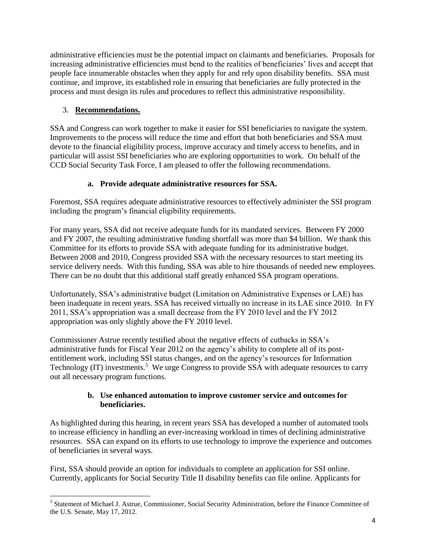administrative efficiencies must be the potential impact on claimants and beneficiaries. Proposals for increasing administrative efficiencies must bend to the realities of beneficiaries' lives and accept that people face innumerable obstacles when they apply for and rely upon disability benefits. SSA must continue, and improve, its established role in ensuring that beneficiaries are fully protected in the process and must design its rules and procedures to reflect this administrative responsibility.

#### 3. **Recommendations.**

 $\overline{a}$ 

SSA and Congress can work together to make it easier for SSI beneficiaries to navigate the system. Improvements to the process will reduce the time and effort that both beneficiaries and SSA must devote to the financial eligibility process, improve accuracy and timely access to benefits, and in particular will assist SSI beneficiaries who are exploring opportunities to work. On behalf of the CCD Social Security Task Force, I am pleased to offer the following recommendations.

#### **a. Provide adequate administrative resources for SSA.**

Foremost, SSA requires adequate administrative resources to effectively administer the SSI program including the program's financial eligibility requirements.

For many years, SSA did not receive adequate funds for its mandated services. Between FY 2000 and FY 2007, the resulting administrative funding shortfall was more than \$4 billion. We thank this Committee for its efforts to provide SSA with adequate funding for its administrative budget. Between 2008 and 2010, Congress provided SSA with the necessary resources to start meeting its service delivery needs. With this funding, SSA was able to hire thousands of needed new employees. There can be no doubt that this additional staff greatly enhanced SSA program operations.

Unfortunately, SSA's administrative budget (Limitation on Administrative Expenses or LAE) has been inadequate in recent years. SSA has received virtually no increase in its LAE since 2010. In FY 2011, SSA's appropriation was a small decrease from the FY 2010 level and the FY 2012 appropriation was only slightly above the FY 2010 level.

Commissioner Astrue recently testified about the negative effects of cutbacks in SSA's administrative funds for Fiscal Year 2012 on the agency's ability to complete all of its postentitlement work, including SSI status changes, and on the agency's resources for Information Technology (IT) investments.<sup>5</sup> We urge Congress to provide SSA with adequate resources to carry out all necessary program functions.

#### **b. Use enhanced automation to improve customer service and outcomes for beneficiaries.**

As highlighted during this hearing, in recent years SSA has developed a number of automated tools to increase efficiency in handling an ever-increasing workload in times of declining administrative resources. SSA can expand on its efforts to use technology to improve the experience and outcomes of beneficiaries in several ways.

First, SSA should provide an option for individuals to complete an application for SSI online. Currently, applicants for Social Security Title II disability benefits can file online. Applicants for

<sup>&</sup>lt;sup>5</sup> Statement of Michael J. Astrue, Commissioner, Social Security Administration, before the Finance Committee of the U.S. Senate, May 17, 2012.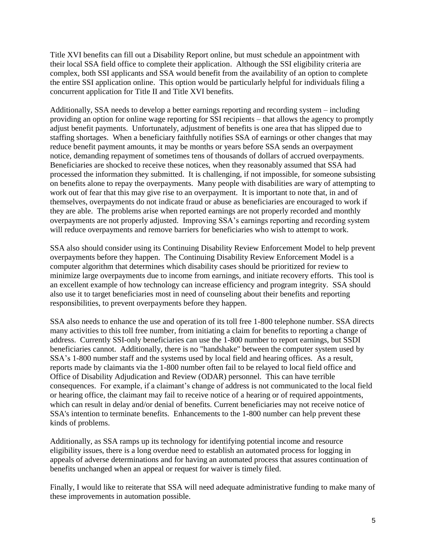Title XVI benefits can fill out a Disability Report online, but must schedule an appointment with their local SSA field office to complete their application. Although the SSI eligibility criteria are complex, both SSI applicants and SSA would benefit from the availability of an option to complete the entire SSI application online. This option would be particularly helpful for individuals filing a concurrent application for Title II and Title XVI benefits.

Additionally, SSA needs to develop a better earnings reporting and recording system – including providing an option for online wage reporting for SSI recipients – that allows the agency to promptly adjust benefit payments. Unfortunately, adjustment of benefits is one area that has slipped due to staffing shortages. When a beneficiary faithfully notifies SSA of earnings or other changes that may reduce benefit payment amounts, it may be months or years before SSA sends an overpayment notice, demanding repayment of sometimes tens of thousands of dollars of accrued overpayments. Beneficiaries are shocked to receive these notices, when they reasonably assumed that SSA had processed the information they submitted. It is challenging, if not impossible, for someone subsisting on benefits alone to repay the overpayments. Many people with disabilities are wary of attempting to work out of fear that this may give rise to an overpayment. It is important to note that, in and of themselves, overpayments do not indicate fraud or abuse as beneficiaries are encouraged to work if they are able. The problems arise when reported earnings are not properly recorded and monthly overpayments are not properly adjusted. Improving SSA's earnings reporting and recording system will reduce overpayments and remove barriers for beneficiaries who wish to attempt to work.

SSA also should consider using its Continuing Disability Review Enforcement Model to help prevent overpayments before they happen. The Continuing Disability Review Enforcement Model is a computer algorithm that determines which disability cases should be prioritized for review to minimize large overpayments due to income from earnings, and initiate recovery efforts. This tool is an excellent example of how technology can increase efficiency and program integrity. SSA should also use it to target beneficiaries most in need of counseling about their benefits and reporting responsibilities, to prevent overpayments before they happen.

SSA also needs to enhance the use and operation of its toll free 1-800 telephone number. SSA directs many activities to this toll free number, from initiating a claim for benefits to reporting a change of address. Currently SSI-only beneficiaries can use the 1-800 number to report earnings, but SSDI beneficiaries cannot. Additionally, there is no "handshake" between the computer system used by SSA's 1-800 number staff and the systems used by local field and hearing offices. As a result, reports made by claimants via the 1-800 number often fail to be relayed to local field office and Office of Disability Adjudication and Review (ODAR) personnel. This can have terrible consequences. For example, if a claimant's change of address is not communicated to the local field or hearing office, the claimant may fail to receive notice of a hearing or of required appointments, which can result in delay and/or denial of benefits. Current beneficiaries may not receive notice of SSA's intention to terminate benefits. Enhancements to the 1-800 number can help prevent these kinds of problems.

Additionally, as SSA ramps up its technology for identifying potential income and resource eligibility issues, there is a long overdue need to establish an automated process for logging in appeals of adverse determinations and for having an automated process that assures continuation of benefits unchanged when an appeal or request for waiver is timely filed.

Finally, I would like to reiterate that SSA will need adequate administrative funding to make many of these improvements in automation possible.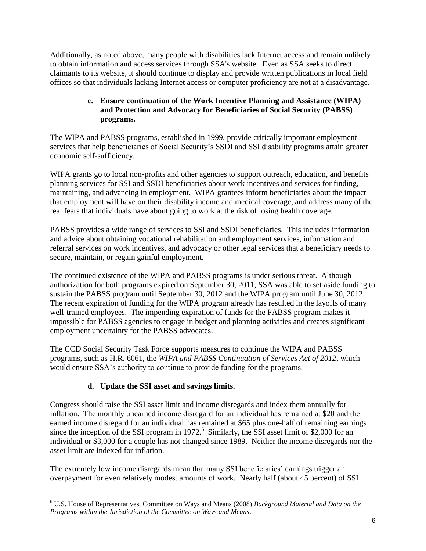Additionally, as noted above, many people with disabilities lack Internet access and remain unlikely to obtain information and access services through SSA's website. Even as SSA seeks to direct claimants to its website, it should continue to display and provide written publications in local field offices so that individuals lacking Internet access or computer proficiency are not at a disadvantage.

#### **c. Ensure continuation of the Work Incentive Planning and Assistance (WIPA) and Protection and Advocacy for Beneficiaries of Social Security (PABSS) programs.**

The WIPA and PABSS programs, established in 1999, provide critically important employment services that help beneficiaries of Social Security's SSDI and SSI disability programs attain greater economic self-sufficiency.

WIPA grants go to local non-profits and other agencies to support outreach, education, and benefits planning services for SSI and SSDI beneficiaries about work incentives and services for finding, maintaining, and advancing in employment. WIPA grantees inform beneficiaries about the impact that employment will have on their disability income and medical coverage, and address many of the real fears that individuals have about going to work at the risk of losing health coverage.

PABSS provides a wide range of services to SSI and SSDI beneficiaries. This includes information and advice about obtaining vocational rehabilitation and employment services, information and referral services on work incentives, and advocacy or other legal services that a beneficiary needs to secure, maintain, or regain gainful employment.

The continued existence of the WIPA and PABSS programs is under serious threat. Although authorization for both programs expired on September 30, 2011, SSA was able to set aside funding to sustain the PABSS program until September 30, 2012 and the WIPA program until June 30, 2012. The recent expiration of funding for the WIPA program already has resulted in the layoffs of many well-trained employees. The impending expiration of funds for the PABSS program makes it impossible for PABSS agencies to engage in budget and planning activities and creates significant employment uncertainty for the PABSS advocates.

The CCD Social Security Task Force supports measures to continue the WIPA and PABSS programs, such as H.R. 6061, the *WIPA and PABSS Continuation of Services Act of 2012*, which would ensure SSA's authority to continue to provide funding for the programs.

## **d. Update the SSI asset and savings limits.**

 $\overline{a}$ 

Congress should raise the SSI asset limit and income disregards and index them annually for inflation. The monthly unearned income disregard for an individual has remained at \$20 and the earned income disregard for an individual has remained at \$65 plus one-half of remaining earnings since the inception of the SSI program in 1972.<sup>6</sup> Similarly, the SSI asset limit of \$2,000 for an individual or \$3,000 for a couple has not changed since 1989. Neither the income disregards nor the asset limit are indexed for inflation.

The extremely low income disregards mean that many SSI beneficiaries' earnings trigger an overpayment for even relatively modest amounts of work. Nearly half (about 45 percent) of SSI

<sup>6</sup> U.S. House of Representatives, Committee on Ways and Means (2008) *Background Material and Data on the Programs within the Jurisdiction of the Committee on Ways and Means*.